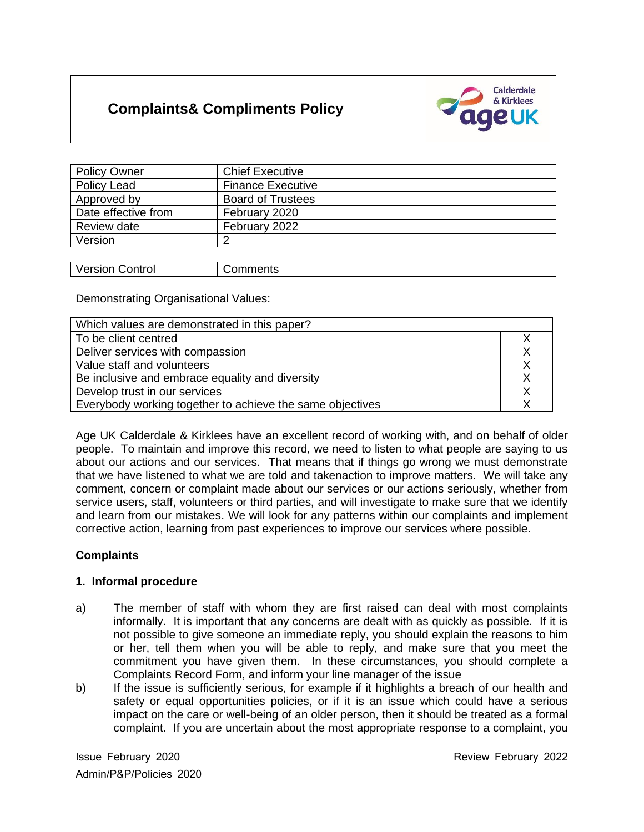# **Complaints& Compliments Policy**



| <b>Policy Owner</b> | <b>Chief Executive</b>   |
|---------------------|--------------------------|
| Policy Lead         | <b>Finance Executive</b> |
| Approved by         | <b>Board of Trustees</b> |
| Date effective from | February 2020            |
| Review date         | February 2022            |
| Version             |                          |

| $1 - 2 - 1 - 2$<br>v<br>וטוו<br>- 11 | . |
|--------------------------------------|---|
|                                      |   |

Demonstrating Organisational Values:

| Which values are demonstrated in this paper?              |  |  |
|-----------------------------------------------------------|--|--|
| To be client centred                                      |  |  |
| Deliver services with compassion                          |  |  |
| Value staff and volunteers                                |  |  |
| Be inclusive and embrace equality and diversity           |  |  |
| Develop trust in our services                             |  |  |
| Everybody working together to achieve the same objectives |  |  |

Age UK Calderdale & Kirklees have an excellent record of working with, and on behalf of older people. To maintain and improve this record, we need to listen to what people are saying to us about our actions and our services. That means that if things go wrong we must demonstrate that we have listened to what we are told and takenaction to improve matters. We will take any comment, concern or complaint made about our services or our actions seriously, whether from service users, staff, volunteers or third parties, and will investigate to make sure that we identify and learn from our mistakes. We will look for any patterns within our complaints and implement corrective action, learning from past experiences to improve our services where possible.

## **Complaints**

## **1. Informal procedure**

- a) The member of staff with whom they are first raised can deal with most complaints informally. It is important that any concerns are dealt with as quickly as possible. If it is not possible to give someone an immediate reply, you should explain the reasons to him or her, tell them when you will be able to reply, and make sure that you meet the commitment you have given them. In these circumstances, you should complete a Complaints Record Form, and inform your line manager of the issue
- b) If the issue is sufficiently serious, for example if it highlights a breach of our health and safety or equal opportunities policies, or if it is an issue which could have a serious impact on the care or well-being of an older person, then it should be treated as a formal complaint. If you are uncertain about the most appropriate response to a complaint, you

Admin/P&P/Policies 2020

Issue February 2020 Review February 2022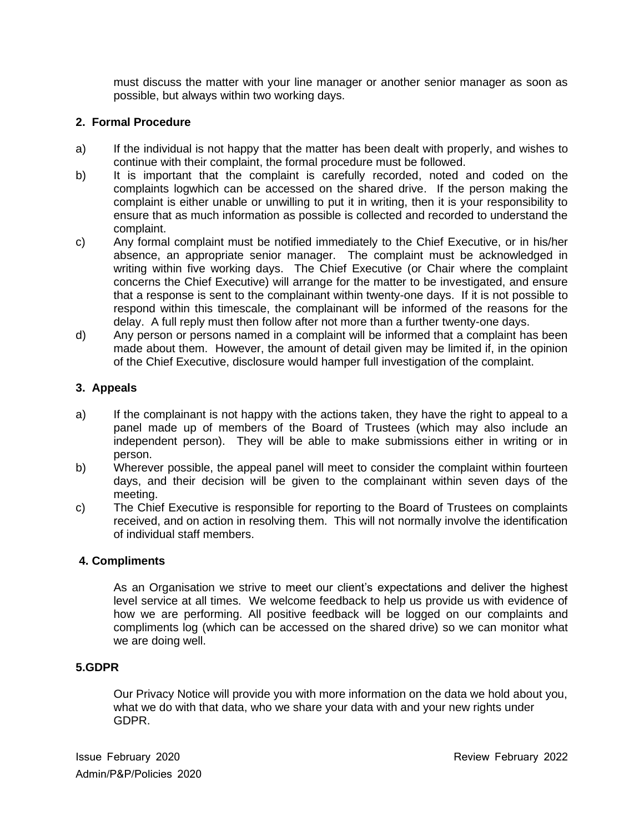must discuss the matter with your line manager or another senior manager as soon as possible, but always within two working days.

## **2. Formal Procedure**

- a) If the individual is not happy that the matter has been dealt with properly, and wishes to continue with their complaint, the formal procedure must be followed.
- b) It is important that the complaint is carefully recorded, noted and coded on the complaints logwhich can be accessed on the shared drive. If the person making the complaint is either unable or unwilling to put it in writing, then it is your responsibility to ensure that as much information as possible is collected and recorded to understand the complaint.
- c) Any formal complaint must be notified immediately to the Chief Executive, or in his/her absence, an appropriate senior manager. The complaint must be acknowledged in writing within five working days. The Chief Executive (or Chair where the complaint concerns the Chief Executive) will arrange for the matter to be investigated, and ensure that a response is sent to the complainant within twenty-one days. If it is not possible to respond within this timescale, the complainant will be informed of the reasons for the delay. A full reply must then follow after not more than a further twenty-one days.
- d) Any person or persons named in a complaint will be informed that a complaint has been made about them. However, the amount of detail given may be limited if, in the opinion of the Chief Executive, disclosure would hamper full investigation of the complaint.

## **3. Appeals**

- a) If the complainant is not happy with the actions taken, they have the right to appeal to a panel made up of members of the Board of Trustees (which may also include an independent person). They will be able to make submissions either in writing or in person.
- b) Wherever possible, the appeal panel will meet to consider the complaint within fourteen days, and their decision will be given to the complainant within seven days of the meeting.
- c) The Chief Executive is responsible for reporting to the Board of Trustees on complaints received, and on action in resolving them. This will not normally involve the identification of individual staff members.

#### **4. Compliments**

As an Organisation we strive to meet our client's expectations and deliver the highest level service at all times. We welcome feedback to help us provide us with evidence of how we are performing. All positive feedback will be logged on our complaints and compliments log (which can be accessed on the shared drive) so we can monitor what we are doing well.

#### **5.GDPR**

Our Privacy Notice will provide you with more information on the data we hold about you, what we do with that data, who we share your data with and your new rights under GDPR.